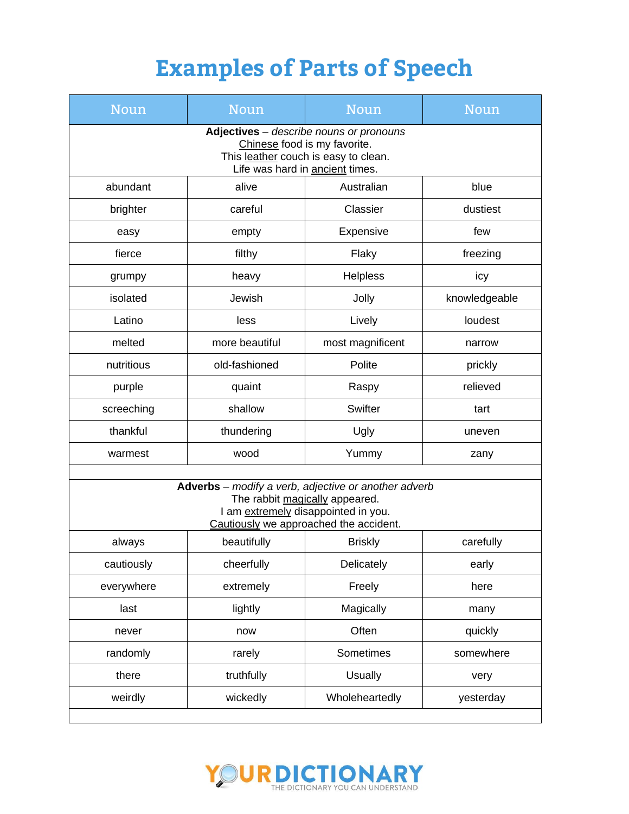| Noun                                                                                                                                                                    | <b>Noun</b>    | Noun             | Noun          |  |  |
|-------------------------------------------------------------------------------------------------------------------------------------------------------------------------|----------------|------------------|---------------|--|--|
| Adjectives - describe nouns or pronouns<br>Chinese food is my favorite.<br>This leather couch is easy to clean.<br>Life was hard in ancient times.                      |                |                  |               |  |  |
| abundant                                                                                                                                                                | alive          | Australian       | blue          |  |  |
| brighter                                                                                                                                                                | careful        | Classier         | dustiest      |  |  |
| easy                                                                                                                                                                    | empty          | Expensive        | few           |  |  |
| fierce                                                                                                                                                                  | filthy         | Flaky            | freezing      |  |  |
| grumpy                                                                                                                                                                  | heavy          | Helpless         | icy           |  |  |
| isolated                                                                                                                                                                | Jewish         | Jolly            | knowledgeable |  |  |
| Latino                                                                                                                                                                  | less           | Lively           | loudest       |  |  |
| melted                                                                                                                                                                  | more beautiful | most magnificent | narrow        |  |  |
| nutritious                                                                                                                                                              | old-fashioned  | Polite           | prickly       |  |  |
| purple                                                                                                                                                                  | quaint         | Raspy            | relieved      |  |  |
| screeching                                                                                                                                                              | shallow        | Swifter          | tart          |  |  |
| thankful                                                                                                                                                                | thundering     | Ugly             | uneven        |  |  |
| warmest                                                                                                                                                                 | wood           | Yummy            | zany          |  |  |
| Adverbs - modify a verb, adjective or another adverb<br>The rabbit magically appeared.<br>I am extremely disappointed in you.<br>Cautiously we approached the accident. |                |                  |               |  |  |
| always                                                                                                                                                                  | beautifully    | <b>Briskly</b>   | carefully     |  |  |
| cautiously                                                                                                                                                              | cheerfully     | Delicately       | early         |  |  |
| everywhere                                                                                                                                                              | extremely      | Freely           | here          |  |  |
| last                                                                                                                                                                    | lightly        | Magically        | many          |  |  |
| never                                                                                                                                                                   | now            | Often            | quickly       |  |  |
| randomly                                                                                                                                                                | rarely         | Sometimes        | somewhere     |  |  |
| there                                                                                                                                                                   | truthfully     | <b>Usually</b>   | very          |  |  |
| weirdly                                                                                                                                                                 | wickedly       | Wholeheartedly   | yesterday     |  |  |
|                                                                                                                                                                         |                |                  |               |  |  |

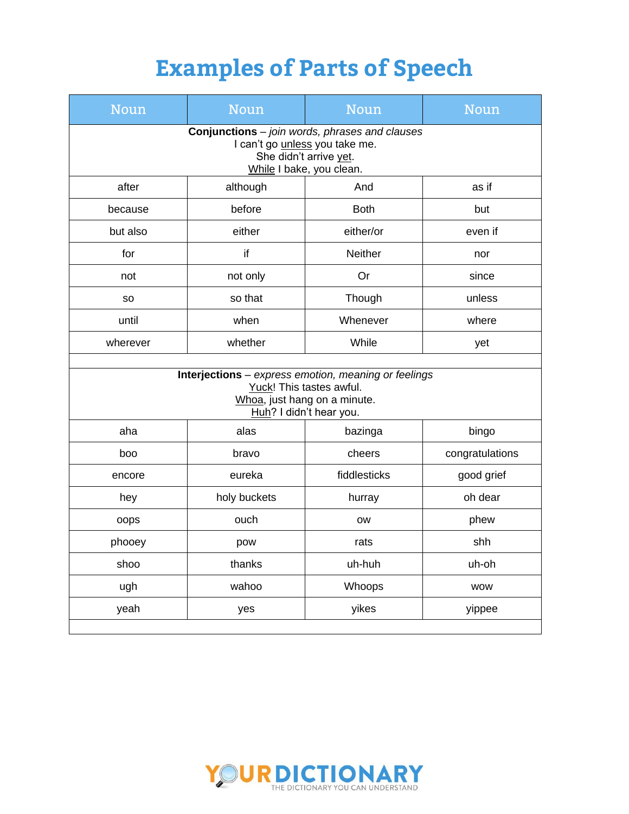| <b>Noun</b>                                                                                                                                          | <b>Noun</b>  | <b>Noun</b>    | <b>Noun</b>     |  |  |
|------------------------------------------------------------------------------------------------------------------------------------------------------|--------------|----------------|-----------------|--|--|
| <b>Conjunctions</b> - join words, phrases and clauses<br>I can't go <i>unless</i> you take me.<br>She didn't arrive yet.<br>While I bake, you clean. |              |                |                 |  |  |
| after                                                                                                                                                | although     | And            | as if           |  |  |
| because                                                                                                                                              | before       | <b>Both</b>    | but             |  |  |
| but also                                                                                                                                             | either       | either/or      | even if         |  |  |
| for                                                                                                                                                  | if           | <b>Neither</b> | nor             |  |  |
| not                                                                                                                                                  | not only     | Or             | since           |  |  |
| <b>SO</b>                                                                                                                                            | so that      | Though         | unless          |  |  |
| until                                                                                                                                                | when         | Whenever       | where           |  |  |
| wherever                                                                                                                                             | whether      | While          | yet             |  |  |
| Interjections - express emotion, meaning or feelings<br>Yuck! This tastes awful.<br>Whoa, just hang on a minute.<br>Huh? I didn't hear you.          |              |                |                 |  |  |
| aha                                                                                                                                                  | alas         | bazinga        | bingo           |  |  |
| boo                                                                                                                                                  | bravo        | cheers         | congratulations |  |  |
| encore                                                                                                                                               | eureka       | fiddlesticks   | good grief      |  |  |
| hey                                                                                                                                                  | holy buckets | hurray         | oh dear         |  |  |
| oops                                                                                                                                                 | ouch         | <b>OW</b>      | phew            |  |  |
| phooey                                                                                                                                               | pow          | rats           | shh             |  |  |
| shoo                                                                                                                                                 | thanks       | uh-huh         | uh-oh           |  |  |
| ugh                                                                                                                                                  | wahoo        | Whoops         | <b>WOW</b>      |  |  |
| yeah                                                                                                                                                 | yes          | yikes          | yippee          |  |  |

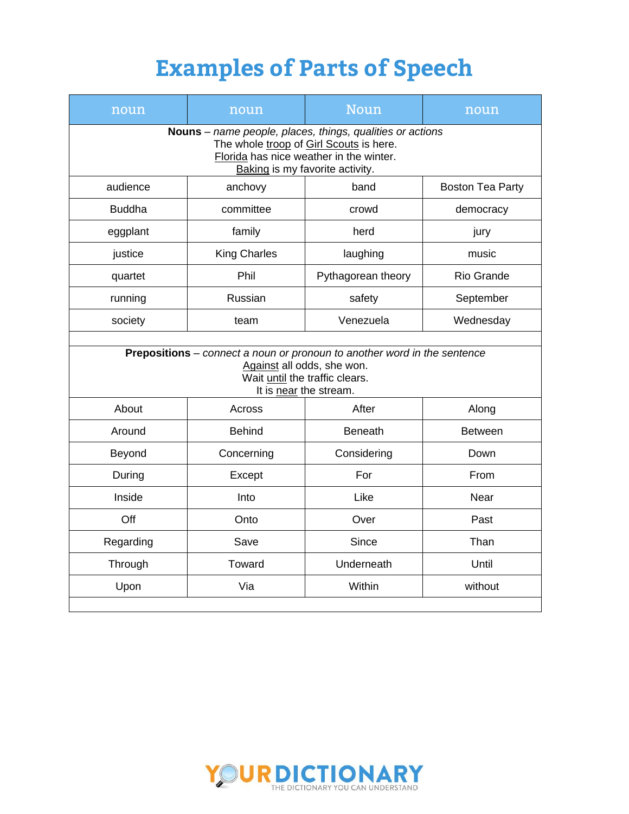| noun                                                                                                                                                                                      | noun                | Noun               | noun                    |  |  |
|-------------------------------------------------------------------------------------------------------------------------------------------------------------------------------------------|---------------------|--------------------|-------------------------|--|--|
| <b>Nouns</b> – name people, places, things, qualities or actions<br>The whole troop of Girl Scouts is here.<br>Florida has nice weather in the winter.<br>Baking is my favorite activity. |                     |                    |                         |  |  |
| audience                                                                                                                                                                                  | anchovy             | band               | <b>Boston Tea Party</b> |  |  |
| <b>Buddha</b>                                                                                                                                                                             | committee           | crowd              | democracy               |  |  |
| eggplant                                                                                                                                                                                  | family              | herd               | jury                    |  |  |
| justice                                                                                                                                                                                   | <b>King Charles</b> | laughing           | music                   |  |  |
| quartet                                                                                                                                                                                   | Phil                | Pythagorean theory | Rio Grande              |  |  |
| running                                                                                                                                                                                   | Russian             | safety             | September               |  |  |
| society                                                                                                                                                                                   | team                | Venezuela          | Wednesday               |  |  |
| Prepositions - connect a noun or pronoun to another word in the sentence<br>Against all odds, she won.<br>Wait until the traffic clears.<br>It is near the stream.                        |                     |                    |                         |  |  |
| About                                                                                                                                                                                     | Across              | After              | Along                   |  |  |
| Around                                                                                                                                                                                    | <b>Behind</b>       | <b>Beneath</b>     | <b>Between</b>          |  |  |
| Beyond                                                                                                                                                                                    | Concerning          | Considering        | Down                    |  |  |
| During                                                                                                                                                                                    | Except              | For                | From                    |  |  |
| Inside                                                                                                                                                                                    | Into                | Like               | Near                    |  |  |
| Off                                                                                                                                                                                       | Onto                | Over               | Past                    |  |  |
| Regarding                                                                                                                                                                                 | Save                | Since              | Than                    |  |  |
| Through                                                                                                                                                                                   | Toward              | Underneath         | Until                   |  |  |
| Upon                                                                                                                                                                                      | Via                 | Within             | without                 |  |  |
|                                                                                                                                                                                           |                     |                    |                         |  |  |